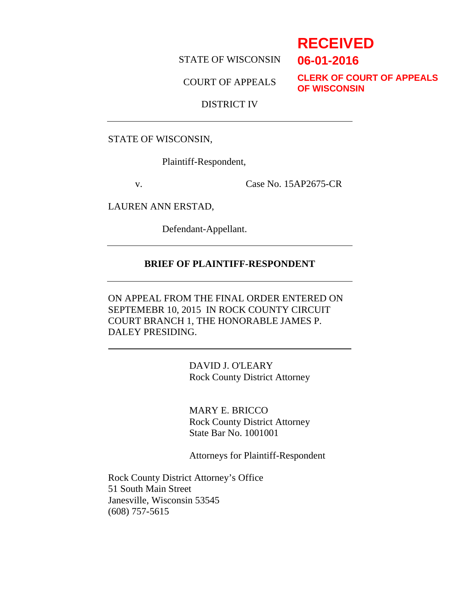STATE OF WISCONSIN

COURT OF APPEALS

**CLERK OF COURT OF APPEALS OF WISCONSIN**

# DISTRICT IV

STATE OF WISCONSIN,

Plaintiff-Respondent,

v. Case No. 15AP2675-CR

LAUREN ANN ERSTAD,

Defendant-Appellant.

# **BRIEF OF PLAINTIFF-RESPONDENT**

ON APPEAL FROM THE FINAL ORDER ENTERED ON SEPTEMEBR 10, 2015 IN ROCK COUNTY CIRCUIT COURT BRANCH 1, THE HONORABLE JAMES P. DALEY PRESIDING.

> DAVID J. O'LEARY Rock County District Attorney

> MARY E. BRICCO Rock County District Attorney State Bar No. 1001001

Attorneys for Plaintiff-Respondent

Rock County District Attorney's Office 51 South Main Street Janesville, Wisconsin 53545 (608) 757-5615

# **RECEIVED**

**06-01-2016**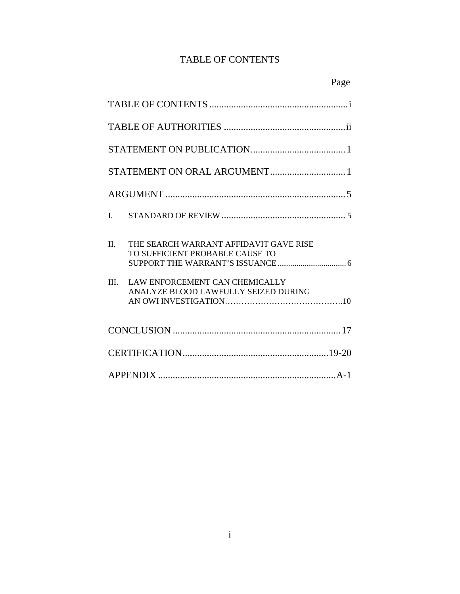# TABLE OF CONTENTS

| $\mathbf{L}$                                                                                                                                                      |
|-------------------------------------------------------------------------------------------------------------------------------------------------------------------|
| THE SEARCH WARRANT AFFIDAVIT GAVE RISE<br>Π.<br>TO SUFFICIENT PROBABLE CAUSE TO<br>III.<br>LAW ENFORCEMENT CAN CHEMICALLY<br>ANALYZE BLOOD LAWFULLY SEIZED DURING |
|                                                                                                                                                                   |
|                                                                                                                                                                   |
|                                                                                                                                                                   |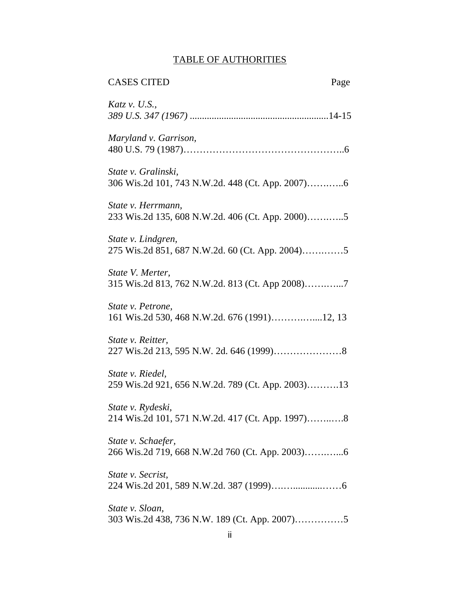# TABLE OF AUTHORITIES

| <b>CASES CITED</b><br>Page                                             |  |
|------------------------------------------------------------------------|--|
| Katz v. U.S.,                                                          |  |
| Maryland v. Garrison,                                                  |  |
| State v. Gralinski,                                                    |  |
| State v. Herrmann,<br>233 Wis.2d 135, 608 N.W.2d. 406 (Ct. App. 2000)5 |  |
| State v. Lindgren,                                                     |  |
| State V. Merter,<br>315 Wis.2d 813, 762 N.W.2d. 813 (Ct. App 2008)7    |  |
| State v. Petrone,<br>161 Wis.2d 530, 468 N.W.2d. 676 (1991)12, 13      |  |
| State v. Reitter,                                                      |  |
| State v. Riedel,<br>259 Wis.2d 921, 656 N.W.2d. 789 (Ct. App. 2003)13  |  |
| State v. Rydeski,<br>214 Wis.2d 101, 571 N.W.2d. 417 (Ct. App. 1997)8  |  |
| State v. Schaefer,                                                     |  |
| State v. Secrist,                                                      |  |
| State v. Sloan,                                                        |  |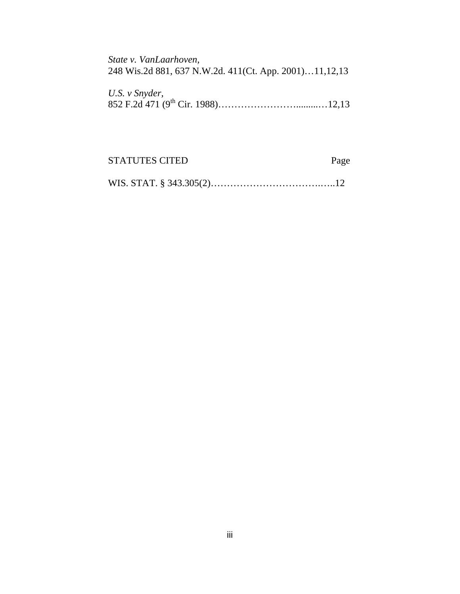*State v. VanLaarhoven,*  248 Wis.2d 881, 637 N.W.2d. 411(Ct. App. 2001)…11,12,13

| U.S. v Snyder, |  |
|----------------|--|
|                |  |

| <b>STATUTES CITED</b> | Page |
|-----------------------|------|
|                       |      |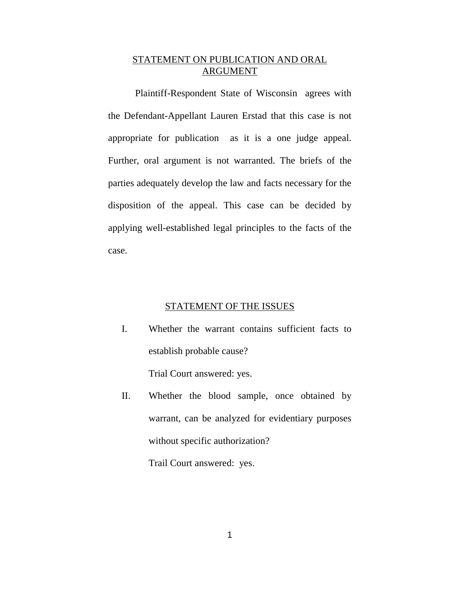# STATEMENT ON PUBLICATION AND ORAL ARGUMENT

Plaintiff-Respondent State of Wisconsin agrees with the Defendant-Appellant Lauren Erstad that this case is not appropriate for publication as it is a one judge appeal. Further, oral argument is not warranted. The briefs of the parties adequately develop the law and facts necessary for the disposition of the appeal. This case can be decided by applying well-established legal principles to the facts of the case.

### STATEMENT OF THE ISSUES

I. Whether the warrant contains sufficient facts to establish probable cause?

Trial Court answered: yes.

II. Whether the blood sample, once obtained by warrant, can be analyzed for evidentiary purposes without specific authorization?

Trail Court answered: yes.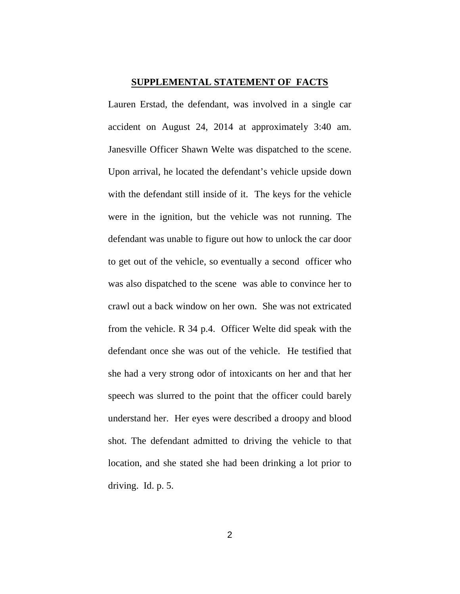#### **SUPPLEMENTAL STATEMENT OF FACTS**

Lauren Erstad, the defendant, was involved in a single car accident on August 24, 2014 at approximately 3:40 am. Janesville Officer Shawn Welte was dispatched to the scene. Upon arrival, he located the defendant's vehicle upside down with the defendant still inside of it. The keys for the vehicle were in the ignition, but the vehicle was not running. The defendant was unable to figure out how to unlock the car door to get out of the vehicle, so eventually a second officer who was also dispatched to the scene was able to convince her to crawl out a back window on her own. She was not extricated from the vehicle. R 34 p.4. Officer Welte did speak with the defendant once she was out of the vehicle. He testified that she had a very strong odor of intoxicants on her and that her speech was slurred to the point that the officer could barely understand her. Her eyes were described a droopy and blood shot. The defendant admitted to driving the vehicle to that location, and she stated she had been drinking a lot prior to driving. Id. p. 5.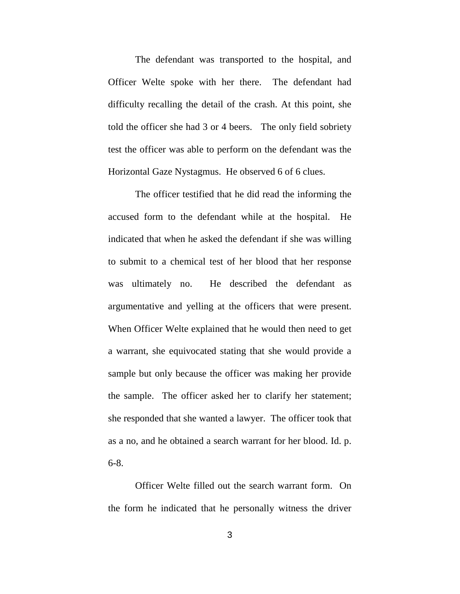The defendant was transported to the hospital, and Officer Welte spoke with her there. The defendant had difficulty recalling the detail of the crash. At this point, she told the officer she had 3 or 4 beers. The only field sobriety test the officer was able to perform on the defendant was the Horizontal Gaze Nystagmus. He observed 6 of 6 clues.

 The officer testified that he did read the informing the accused form to the defendant while at the hospital. He indicated that when he asked the defendant if she was willing to submit to a chemical test of her blood that her response was ultimately no. He described the defendant as argumentative and yelling at the officers that were present. When Officer Welte explained that he would then need to get a warrant, she equivocated stating that she would provide a sample but only because the officer was making her provide the sample. The officer asked her to clarify her statement; she responded that she wanted a lawyer. The officer took that as a no, and he obtained a search warrant for her blood. Id. p. 6-8.

 Officer Welte filled out the search warrant form. On the form he indicated that he personally witness the driver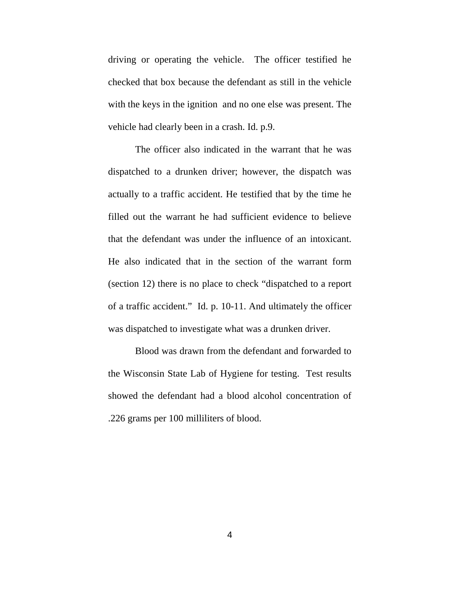driving or operating the vehicle. The officer testified he checked that box because the defendant as still in the vehicle with the keys in the ignition and no one else was present. The vehicle had clearly been in a crash. Id. p.9.

 The officer also indicated in the warrant that he was dispatched to a drunken driver; however, the dispatch was actually to a traffic accident. He testified that by the time he filled out the warrant he had sufficient evidence to believe that the defendant was under the influence of an intoxicant. He also indicated that in the section of the warrant form (section 12) there is no place to check "dispatched to a report of a traffic accident." Id. p. 10-11. And ultimately the officer was dispatched to investigate what was a drunken driver.

 Blood was drawn from the defendant and forwarded to the Wisconsin State Lab of Hygiene for testing. Test results showed the defendant had a blood alcohol concentration of .226 grams per 100 milliliters of blood.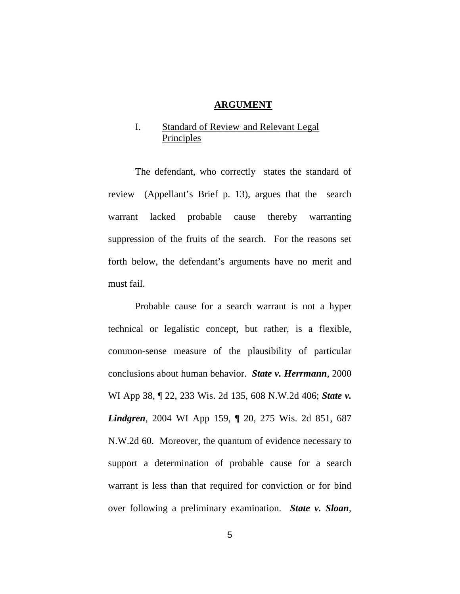#### **ARGUMENT**

# I. Standard of Review and Relevant Legal Principles

 The defendant, who correctly states the standard of review (Appellant's Brief p. 13), argues that the search warrant lacked probable cause thereby warranting suppression of the fruits of the search. For the reasons set forth below, the defendant's arguments have no merit and must fail.

 Probable cause for a search warrant is not a hyper technical or legalistic concept, but rather, is a flexible, common-sense measure of the plausibility of particular conclusions about human behavior. *State v. Herrmann,* 2000 WI App 38, ¶ 22, 233 Wis. 2d 135, 608 N.W.2d 406; *State v. Lindgren*, 2004 WI App 159, ¶ 20, 275 Wis. 2d 851, 687 N.W.2d 60. Moreover, the quantum of evidence necessary to support a determination of probable cause for a search warrant is less than that required for conviction or for bind over following a preliminary examination. *State v. Sloan*,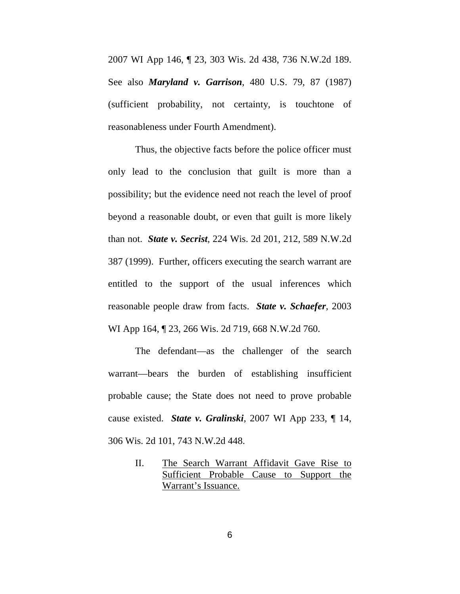2007 WI App 146, ¶ 23, 303 Wis. 2d 438, 736 N.W.2d 189. See also *Maryland v. Garrison*, 480 U.S. 79, 87 (1987) (sufficient probability, not certainty, is touchtone of reasonableness under Fourth Amendment).

 Thus, the objective facts before the police officer must only lead to the conclusion that guilt is more than a possibility; but the evidence need not reach the level of proof beyond a reasonable doubt, or even that guilt is more likely than not. *State v. Secrist*, 224 Wis. 2d 201, 212, 589 N.W.2d 387 (1999). Further, officers executing the search warrant are entitled to the support of the usual inferences which reasonable people draw from facts. *State v. Schaefer*, 2003 WI App 164, ¶ 23, 266 Wis. 2d 719, 668 N.W.2d 760.

The defendant—as the challenger of the search warrant—bears the burden of establishing insufficient probable cause; the State does not need to prove probable cause existed. *State v. Gralinski*, 2007 WI App 233, ¶ 14, 306 Wis. 2d 101, 743 N.W.2d 448.

> II. The Search Warrant Affidavit Gave Rise to Sufficient Probable Cause to Support the Warrant's Issuance.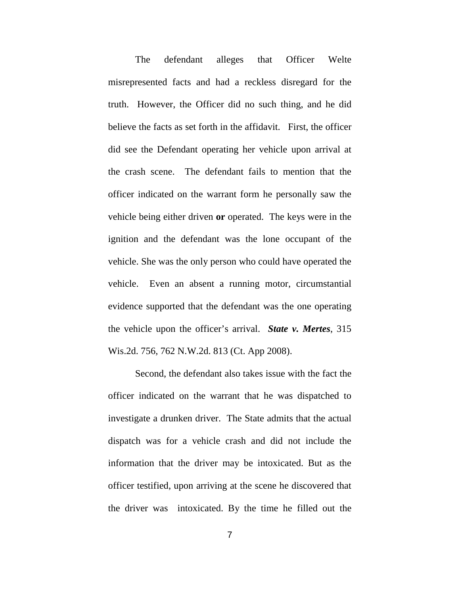The defendant alleges that Officer Welte misrepresented facts and had a reckless disregard for the truth. However, the Officer did no such thing, and he did believe the facts as set forth in the affidavit. First, the officer did see the Defendant operating her vehicle upon arrival at the crash scene. The defendant fails to mention that the officer indicated on the warrant form he personally saw the vehicle being either driven **or** operated. The keys were in the ignition and the defendant was the lone occupant of the vehicle. She was the only person who could have operated the vehicle. Even an absent a running motor, circumstantial evidence supported that the defendant was the one operating the vehicle upon the officer's arrival. *State v. Mertes*, 315 Wis.2d. 756, 762 N.W.2d. 813 (Ct. App 2008).

Second, the defendant also takes issue with the fact the officer indicated on the warrant that he was dispatched to investigate a drunken driver. The State admits that the actual dispatch was for a vehicle crash and did not include the information that the driver may be intoxicated. But as the officer testified, upon arriving at the scene he discovered that the driver was intoxicated. By the time he filled out the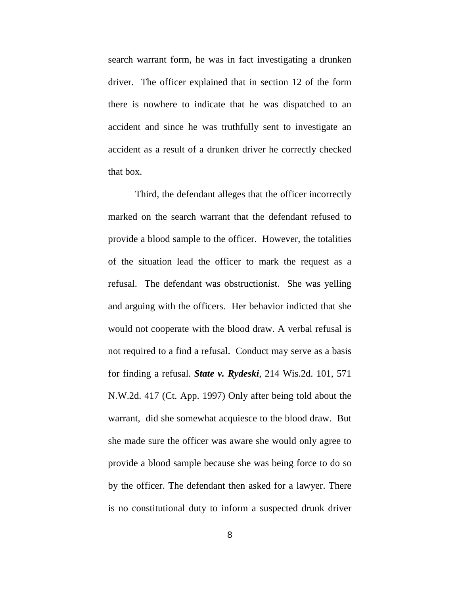search warrant form, he was in fact investigating a drunken driver. The officer explained that in section 12 of the form there is nowhere to indicate that he was dispatched to an accident and since he was truthfully sent to investigate an accident as a result of a drunken driver he correctly checked that box.

Third, the defendant alleges that the officer incorrectly marked on the search warrant that the defendant refused to provide a blood sample to the officer. However, the totalities of the situation lead the officer to mark the request as a refusal. The defendant was obstructionist. She was yelling and arguing with the officers. Her behavior indicted that she would not cooperate with the blood draw. A verbal refusal is not required to a find a refusal. Conduct may serve as a basis for finding a refusal. *State v. Rydeski*, 214 Wis.2d. 101, 571 N.W.2d. 417 (Ct. App. 1997) Only after being told about the warrant, did she somewhat acquiesce to the blood draw. But she made sure the officer was aware she would only agree to provide a blood sample because she was being force to do so by the officer. The defendant then asked for a lawyer. There is no constitutional duty to inform a suspected drunk driver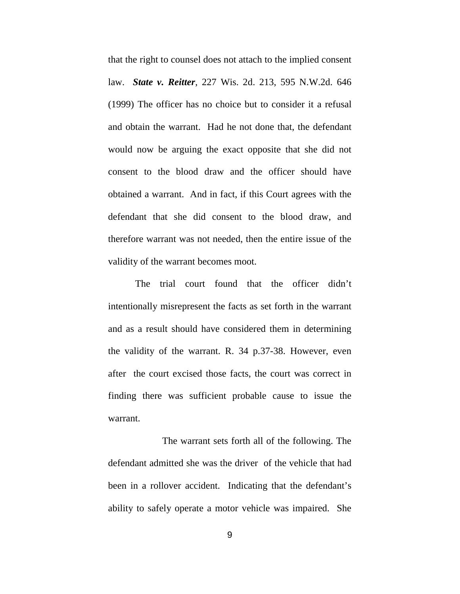that the right to counsel does not attach to the implied consent law. *State v. Reitter*, 227 Wis. 2d. 213, 595 N.W.2d. 646 (1999) The officer has no choice but to consider it a refusal and obtain the warrant. Had he not done that, the defendant would now be arguing the exact opposite that she did not consent to the blood draw and the officer should have obtained a warrant. And in fact, if this Court agrees with the defendant that she did consent to the blood draw, and therefore warrant was not needed, then the entire issue of the validity of the warrant becomes moot.

The trial court found that the officer didn't intentionally misrepresent the facts as set forth in the warrant and as a result should have considered them in determining the validity of the warrant. R. 34 p.37-38. However, even after the court excised those facts, the court was correct in finding there was sufficient probable cause to issue the warrant.

 The warrant sets forth all of the following. The defendant admitted she was the driver of the vehicle that had been in a rollover accident. Indicating that the defendant's ability to safely operate a motor vehicle was impaired. She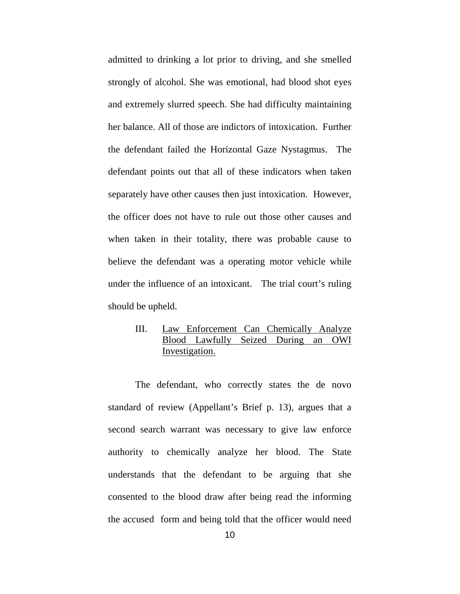admitted to drinking a lot prior to driving, and she smelled strongly of alcohol. She was emotional, had blood shot eyes and extremely slurred speech. She had difficulty maintaining her balance. All of those are indictors of intoxication. Further the defendant failed the Horizontal Gaze Nystagmus. The defendant points out that all of these indicators when taken separately have other causes then just intoxication. However, the officer does not have to rule out those other causes and when taken in their totality, there was probable cause to believe the defendant was a operating motor vehicle while under the influence of an intoxicant. The trial court's ruling should be upheld.

# III. Law Enforcement Can Chemically Analyze Blood Lawfully Seized During an OWI Investigation.

The defendant, who correctly states the de novo standard of review (Appellant's Brief p. 13), argues that a second search warrant was necessary to give law enforce authority to chemically analyze her blood. The State understands that the defendant to be arguing that she consented to the blood draw after being read the informing the accused form and being told that the officer would need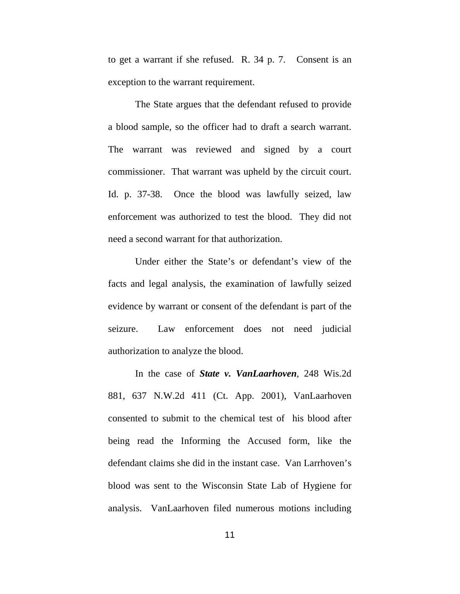to get a warrant if she refused. R. 34 p. 7. Consent is an exception to the warrant requirement.

The State argues that the defendant refused to provide a blood sample, so the officer had to draft a search warrant. The warrant was reviewed and signed by a court commissioner. That warrant was upheld by the circuit court. Id. p. 37-38. Once the blood was lawfully seized, law enforcement was authorized to test the blood. They did not need a second warrant for that authorization.

Under either the State's or defendant's view of the facts and legal analysis, the examination of lawfully seized evidence by warrant or consent of the defendant is part of the seizure. Law enforcement does not need judicial authorization to analyze the blood.

In the case of *State v. VanLaarhoven*, 248 Wis.2d 881, 637 N.W.2d 411 (Ct. App. 2001), VanLaarhoven consented to submit to the chemical test of his blood after being read the Informing the Accused form, like the defendant claims she did in the instant case. Van Larrhoven's blood was sent to the Wisconsin State Lab of Hygiene for analysis. VanLaarhoven filed numerous motions including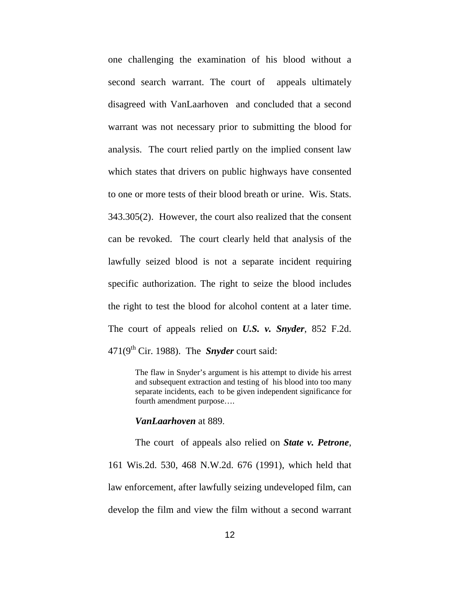one challenging the examination of his blood without a second search warrant. The court of appeals ultimately disagreed with VanLaarhoven and concluded that a second warrant was not necessary prior to submitting the blood for analysis. The court relied partly on the implied consent law which states that drivers on public highways have consented to one or more tests of their blood breath or urine. Wis. Stats. 343.305(2). However, the court also realized that the consent can be revoked. The court clearly held that analysis of the lawfully seized blood is not a separate incident requiring specific authorization. The right to seize the blood includes the right to test the blood for alcohol content at a later time. The court of appeals relied on *U.S. v. Snyder*, 852 F.2d. 471(9th Cir. 1988). The *Snyder* court said:

> The flaw in Snyder's argument is his attempt to divide his arrest and subsequent extraction and testing of his blood into too many separate incidents, each to be given independent significance for fourth amendment purpose….

#### *VanLaarhoven* at 889.

The court of appeals also relied on *State v. Petrone*, 161 Wis.2d. 530, 468 N.W.2d. 676 (1991), which held that law enforcement, after lawfully seizing undeveloped film, can develop the film and view the film without a second warrant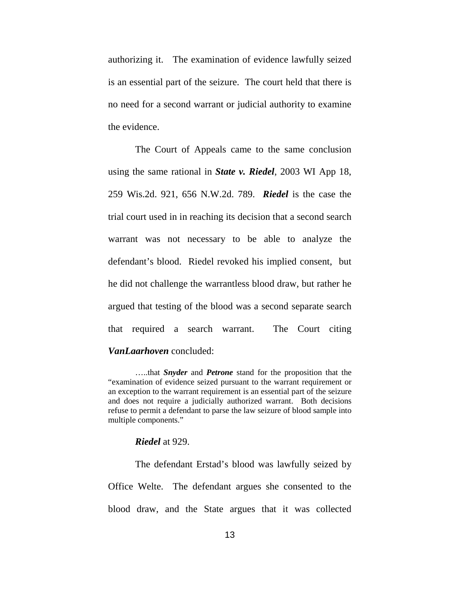authorizing it. The examination of evidence lawfully seized is an essential part of the seizure. The court held that there is no need for a second warrant or judicial authority to examine the evidence.

The Court of Appeals came to the same conclusion using the same rational in *State v. Riedel*, 2003 WI App 18, 259 Wis.2d. 921, 656 N.W.2d. 789. *Riedel* is the case the trial court used in in reaching its decision that a second search warrant was not necessary to be able to analyze the defendant's blood. Riedel revoked his implied consent, but he did not challenge the warrantless blood draw, but rather he argued that testing of the blood was a second separate search that required a search warrant. The Court citing *VanLaarhoven* concluded:

…..that *Snyder* and *Petrone* stand for the proposition that the "examination of evidence seized pursuant to the warrant requirement or an exception to the warrant requirement is an essential part of the seizure and does not require a judicially authorized warrant. Both decisions refuse to permit a defendant to parse the law seizure of blood sample into multiple components."

#### *Riedel* at 929.

The defendant Erstad's blood was lawfully seized by Office Welte. The defendant argues she consented to the blood draw, and the State argues that it was collected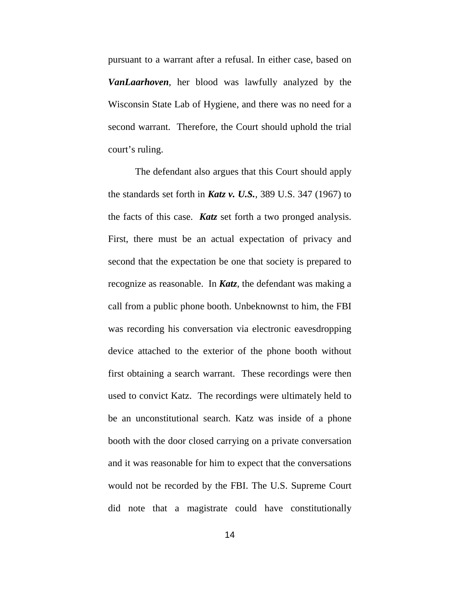pursuant to a warrant after a refusal. In either case, based on *VanLaarhoven*, her blood was lawfully analyzed by the Wisconsin State Lab of Hygiene, and there was no need for a second warrant. Therefore, the Court should uphold the trial court's ruling.

The defendant also argues that this Court should apply the standards set forth in *Katz v. U.S.*, 389 U.S. 347 (1967) to the facts of this case. *Katz* set forth a two pronged analysis. First, there must be an actual expectation of privacy and second that the expectation be one that society is prepared to recognize as reasonable. In *Katz*, the defendant was making a call from a public phone booth. Unbeknownst to him, the FBI was recording his conversation via electronic eavesdropping device attached to the exterior of the phone booth without first obtaining a search warrant. These recordings were then used to convict Katz. The recordings were ultimately held to be an unconstitutional search. Katz was inside of a phone booth with the door closed carrying on a private conversation and it was reasonable for him to expect that the conversations would not be recorded by the FBI. The U.S. Supreme Court did note that a magistrate could have constitutionally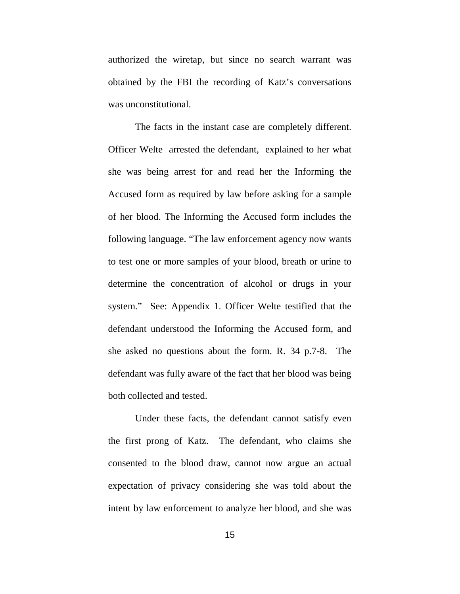authorized the wiretap, but since no search warrant was obtained by the FBI the recording of Katz's conversations was unconstitutional.

The facts in the instant case are completely different. Officer Welte arrested the defendant, explained to her what she was being arrest for and read her the Informing the Accused form as required by law before asking for a sample of her blood. The Informing the Accused form includes the following language. "The law enforcement agency now wants to test one or more samples of your blood, breath or urine to determine the concentration of alcohol or drugs in your system." See: Appendix 1. Officer Welte testified that the defendant understood the Informing the Accused form, and she asked no questions about the form. R. 34 p.7-8. The defendant was fully aware of the fact that her blood was being both collected and tested.

Under these facts, the defendant cannot satisfy even the first prong of Katz. The defendant, who claims she consented to the blood draw, cannot now argue an actual expectation of privacy considering she was told about the intent by law enforcement to analyze her blood, and she was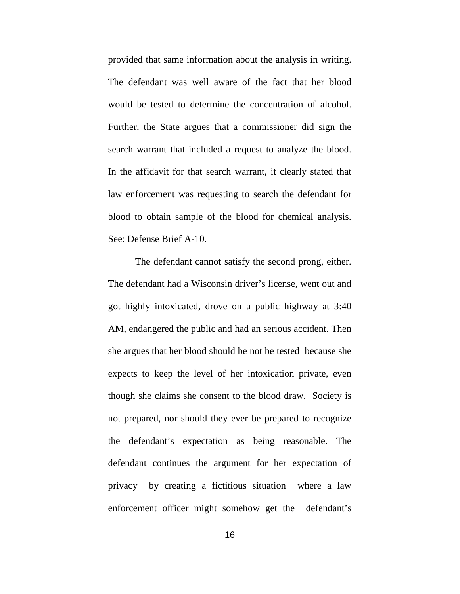provided that same information about the analysis in writing. The defendant was well aware of the fact that her blood would be tested to determine the concentration of alcohol. Further, the State argues that a commissioner did sign the search warrant that included a request to analyze the blood. In the affidavit for that search warrant, it clearly stated that law enforcement was requesting to search the defendant for blood to obtain sample of the blood for chemical analysis. See: Defense Brief A-10.

The defendant cannot satisfy the second prong, either. The defendant had a Wisconsin driver's license, went out and got highly intoxicated, drove on a public highway at 3:40 AM, endangered the public and had an serious accident. Then she argues that her blood should be not be tested because she expects to keep the level of her intoxication private, even though she claims she consent to the blood draw. Society is not prepared, nor should they ever be prepared to recognize the defendant's expectation as being reasonable. The defendant continues the argument for her expectation of privacy by creating a fictitious situation where a law enforcement officer might somehow get the defendant's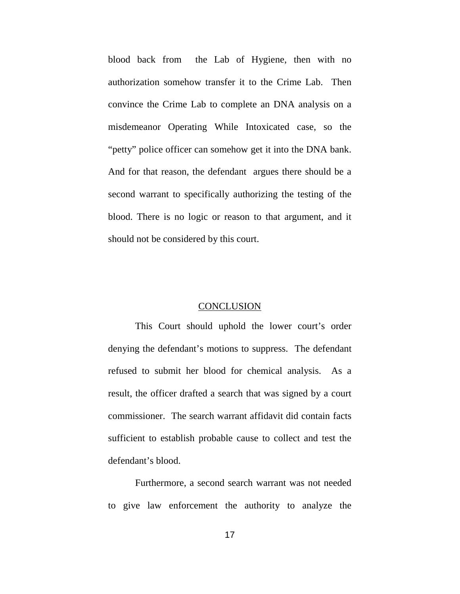blood back from the Lab of Hygiene, then with no authorization somehow transfer it to the Crime Lab. Then convince the Crime Lab to complete an DNA analysis on a misdemeanor Operating While Intoxicated case, so the "petty" police officer can somehow get it into the DNA bank. And for that reason, the defendant argues there should be a second warrant to specifically authorizing the testing of the blood. There is no logic or reason to that argument, and it should not be considered by this court.

#### **CONCLUSION**

This Court should uphold the lower court's order denying the defendant's motions to suppress. The defendant refused to submit her blood for chemical analysis. As a result, the officer drafted a search that was signed by a court commissioner. The search warrant affidavit did contain facts sufficient to establish probable cause to collect and test the defendant's blood.

Furthermore, a second search warrant was not needed to give law enforcement the authority to analyze the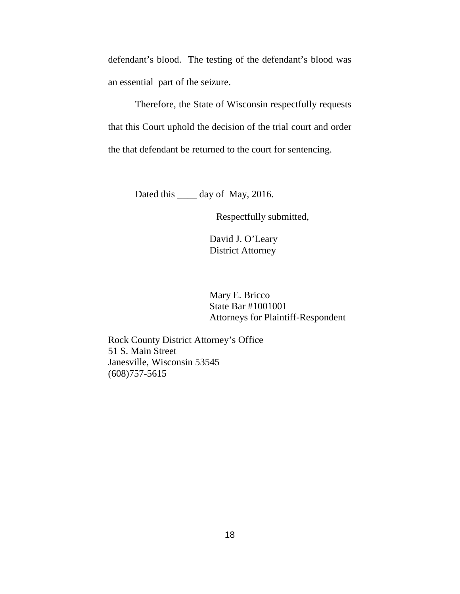defendant's blood. The testing of the defendant's blood was an essential part of the seizure.

Therefore, the State of Wisconsin respectfully requests that this Court uphold the decision of the trial court and order the that defendant be returned to the court for sentencing.

Dated this \_\_\_\_\_ day of May, 2016.

Respectfully submitted,

David J. O'Leary District Attorney

Mary E. Bricco State Bar #1001001 Attorneys for Plaintiff-Respondent

Rock County District Attorney's Office 51 S. Main Street Janesville, Wisconsin 53545 (608)757-5615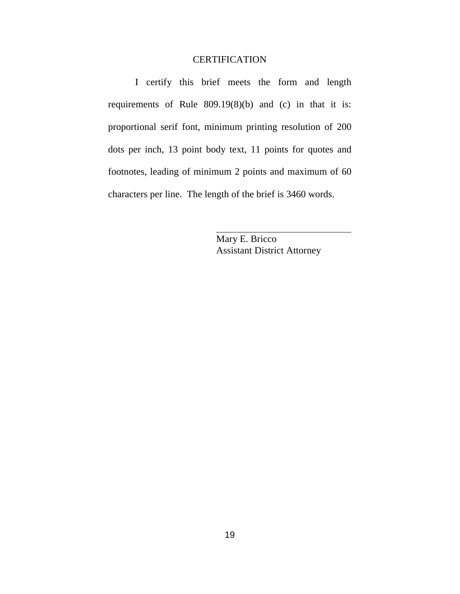# **CERTIFICATION**

 I certify this brief meets the form and length requirements of Rule 809.19(8)(b) and (c) in that it is: proportional serif font, minimum printing resolution of 200 dots per inch, 13 point body text, 11 points for quotes and footnotes, leading of minimum 2 points and maximum of 60 characters per line. The length of the brief is 3460 words.

> Mary E. Bricco Assistant District Attorney